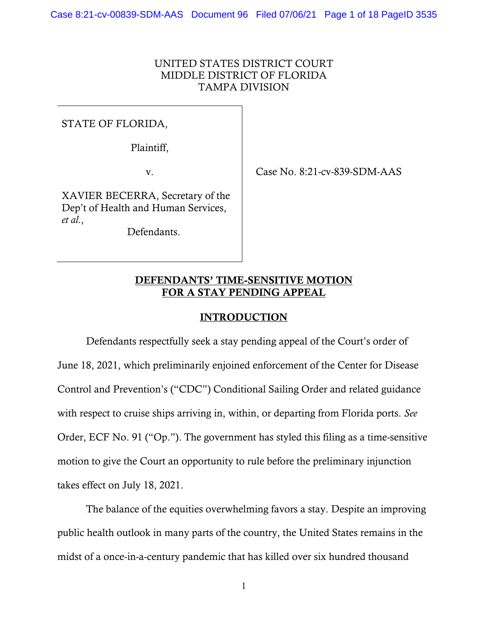## UNITED STATES DISTRICT COURT MIDDLE DISTRICT OF FLORIDA TAMPA DIVISION

STATE OF FLORIDA,

Plaintiff,

v. Case No. 8:21-cv-839-SDM-AAS

XAVIER BECERRA, Secretary of the Dep't of Health and Human Services, *et al.*,

Defendants.

# DEFENDANTS' TIME-SENSITIVE MOTION FOR A STAY PENDING APPEAL

## INTRODUCTION

Defendants respectfully seek a stay pending appeal of the Court's order of June 18, 2021, which preliminarily enjoined enforcement of the Center for Disease Control and Prevention's ("CDC") Conditional Sailing Order and related guidance with respect to cruise ships arriving in, within, or departing from Florida ports. *See* Order, ECF No. 91 ("Op."). The government has styled this filing as a time-sensitive motion to give the Court an opportunity to rule before the preliminary injunction takes effect on July 18, 2021.

The balance of the equities overwhelming favors a stay. Despite an improving public health outlook in many parts of the country, the United States remains in the midst of a once-in-a-century pandemic that has killed over six hundred thousand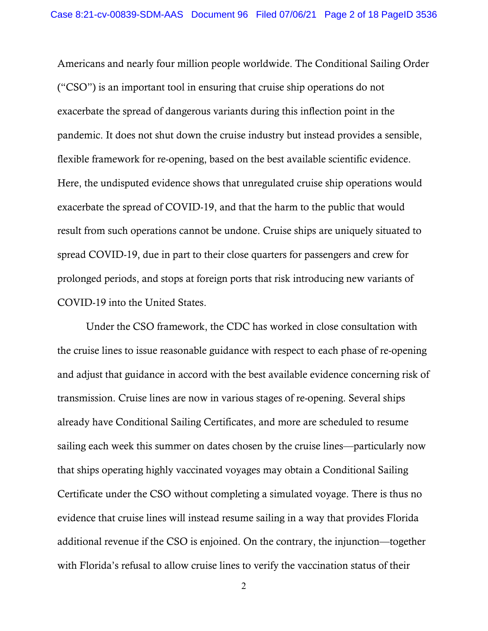Americans and nearly four million people worldwide. The Conditional Sailing Order ("CSO") is an important tool in ensuring that cruise ship operations do not exacerbate the spread of dangerous variants during this inflection point in the pandemic. It does not shut down the cruise industry but instead provides a sensible, flexible framework for re-opening, based on the best available scientific evidence. Here, the undisputed evidence shows that unregulated cruise ship operations would exacerbate the spread of COVID-19, and that the harm to the public that would result from such operations cannot be undone. Cruise ships are uniquely situated to spread COVID-19, due in part to their close quarters for passengers and crew for prolonged periods, and stops at foreign ports that risk introducing new variants of COVID-19 into the United States.

Under the CSO framework, the CDC has worked in close consultation with the cruise lines to issue reasonable guidance with respect to each phase of re-opening and adjust that guidance in accord with the best available evidence concerning risk of transmission. Cruise lines are now in various stages of re-opening. Several ships already have Conditional Sailing Certificates, and more are scheduled to resume sailing each week this summer on dates chosen by the cruise lines—particularly now that ships operating highly vaccinated voyages may obtain a Conditional Sailing Certificate under the CSO without completing a simulated voyage. There is thus no evidence that cruise lines will instead resume sailing in a way that provides Florida additional revenue if the CSO is enjoined. On the contrary, the injunction—together with Florida's refusal to allow cruise lines to verify the vaccination status of their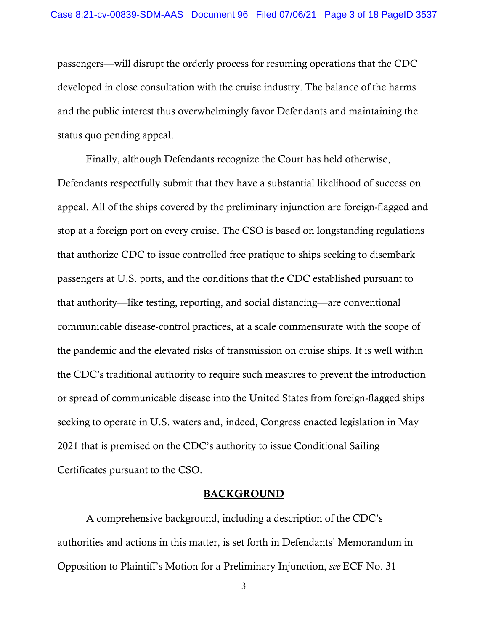passengers—will disrupt the orderly process for resuming operations that the CDC developed in close consultation with the cruise industry. The balance of the harms and the public interest thus overwhelmingly favor Defendants and maintaining the status quo pending appeal.

Finally, although Defendants recognize the Court has held otherwise, Defendants respectfully submit that they have a substantial likelihood of success on appeal. All of the ships covered by the preliminary injunction are foreign-flagged and stop at a foreign port on every cruise. The CSO is based on longstanding regulations that authorize CDC to issue controlled free pratique to ships seeking to disembark passengers at U.S. ports, and the conditions that the CDC established pursuant to that authority—like testing, reporting, and social distancing—are conventional communicable disease-control practices, at a scale commensurate with the scope of the pandemic and the elevated risks of transmission on cruise ships. It is well within the CDC's traditional authority to require such measures to prevent the introduction or spread of communicable disease into the United States from foreign-flagged ships seeking to operate in U.S. waters and, indeed, Congress enacted legislation in May 2021 that is premised on the CDC's authority to issue Conditional Sailing Certificates pursuant to the CSO.

#### **BACKGROUND**

A comprehensive background, including a description of the CDC's authorities and actions in this matter, is set forth in Defendants' Memorandum in Opposition to Plaintiff's Motion for a Preliminary Injunction, *see* ECF No. 31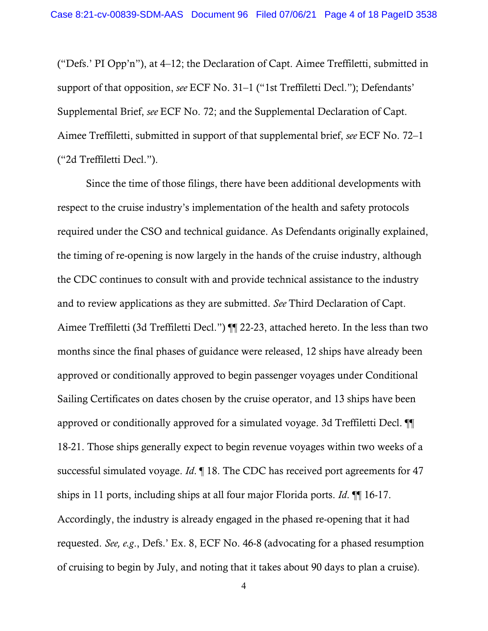("Defs.' PI Opp'n"), at 4–12; the Declaration of Capt. Aimee Treffiletti, submitted in support of that opposition, *see* ECF No. 31–1 ("1st Treffiletti Decl."); Defendants' Supplemental Brief, *see* ECF No. 72; and the Supplemental Declaration of Capt. Aimee Treffiletti, submitted in support of that supplemental brief, *see* ECF No. 72–1 ("2d Treffiletti Decl.").

Since the time of those filings, there have been additional developments with respect to the cruise industry's implementation of the health and safety protocols required under the CSO and technical guidance. As Defendants originally explained, the timing of re-opening is now largely in the hands of the cruise industry, although the CDC continues to consult with and provide technical assistance to the industry and to review applications as they are submitted. *See* Third Declaration of Capt. Aimee Treffiletti (3d Treffiletti Decl.") ¶¶ 22-23, attached hereto. In the less than two months since the final phases of guidance were released, 12 ships have already been approved or conditionally approved to begin passenger voyages under Conditional Sailing Certificates on dates chosen by the cruise operator, and 13 ships have been approved or conditionally approved for a simulated voyage. 3d Treffiletti Decl. ¶¶ 18-21. Those ships generally expect to begin revenue voyages within two weeks of a successful simulated voyage. *Id*. ¶ 18. The CDC has received port agreements for 47 ships in 11 ports, including ships at all four major Florida ports. *Id*. ¶¶ 16-17. Accordingly, the industry is already engaged in the phased re-opening that it had requested. *See, e.g*., Defs.' Ex. 8, ECF No. 46-8 (advocating for a phased resumption of cruising to begin by July, and noting that it takes about 90 days to plan a cruise).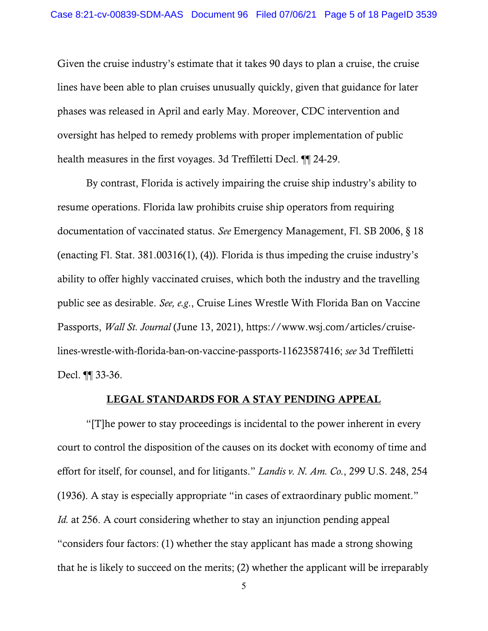Given the cruise industry's estimate that it takes 90 days to plan a cruise, the cruise lines have been able to plan cruises unusually quickly, given that guidance for later phases was released in April and early May. Moreover, CDC intervention and oversight has helped to remedy problems with proper implementation of public health measures in the first voyages. 3d Treffiletti Decl. ¶¶ 24-29.

By contrast, Florida is actively impairing the cruise ship industry's ability to resume operations. Florida law prohibits cruise ship operators from requiring documentation of vaccinated status. *See* Emergency Management, Fl. SB 2006, § 18 (enacting Fl. Stat. 381.00316(1), (4)). Florida is thus impeding the cruise industry's ability to offer highly vaccinated cruises, which both the industry and the travelling public see as desirable. *See, e.g*., Cruise Lines Wrestle With Florida Ban on Vaccine Passports, *Wall St. Journal* (June 13, 2021), https://www.wsj.com/articles/cruiselines-wrestle-with-florida-ban-on-vaccine-passports-11623587416; *see* 3d Treffiletti Decl. ¶¶ 33-36.

#### LEGAL STANDARDS FOR A STAY PENDING APPEAL

"[T]he power to stay proceedings is incidental to the power inherent in every court to control the disposition of the causes on its docket with economy of time and effort for itself, for counsel, and for litigants." *Landis v. N. Am. Co.*, 299 U.S. 248, 254 (1936). A stay is especially appropriate "in cases of extraordinary public moment." *Id.* at 256. A court considering whether to stay an injunction pending appeal "considers four factors: (1) whether the stay applicant has made a strong showing that he is likely to succeed on the merits; (2) whether the applicant will be irreparably

<sup>5</sup>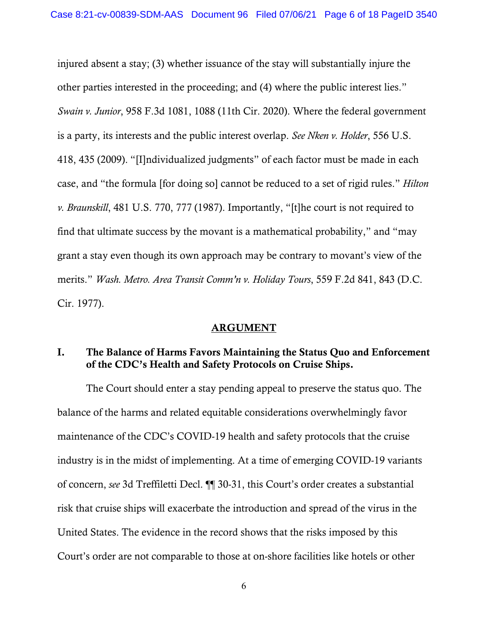injured absent a stay; (3) whether issuance of the stay will substantially injure the other parties interested in the proceeding; and (4) where the public interest lies." *Swain v. Junior*, 958 F.3d 1081, 1088 (11th Cir. 2020). Where the federal government is a party, its interests and the public interest overlap. *See Nken v. Holder*, 556 U.S. 418, 435 (2009). "[I]ndividualized judgments" of each factor must be made in each case, and "the formula [for doing so] cannot be reduced to a set of rigid rules." *Hilton v. Braunskill*, 481 U.S. 770, 777 (1987). Importantly, "[t]he court is not required to find that ultimate success by the movant is a mathematical probability," and "may grant a stay even though its own approach may be contrary to movant's view of the merits." *Wash. Metro. Area Transit Comm'n v. Holiday Tours*, 559 F.2d 841, 843 (D.C. Cir. 1977).

### ARGUMENT

# I. The Balance of Harms Favors Maintaining the Status Quo and Enforcement of the CDC's Health and Safety Protocols on Cruise Ships.

The Court should enter a stay pending appeal to preserve the status quo. The balance of the harms and related equitable considerations overwhelmingly favor maintenance of the CDC's COVID-19 health and safety protocols that the cruise industry is in the midst of implementing. At a time of emerging COVID-19 variants of concern, *see* 3d Treffiletti Decl. ¶¶ 30-31, this Court's order creates a substantial risk that cruise ships will exacerbate the introduction and spread of the virus in the United States. The evidence in the record shows that the risks imposed by this Court's order are not comparable to those at on-shore facilities like hotels or other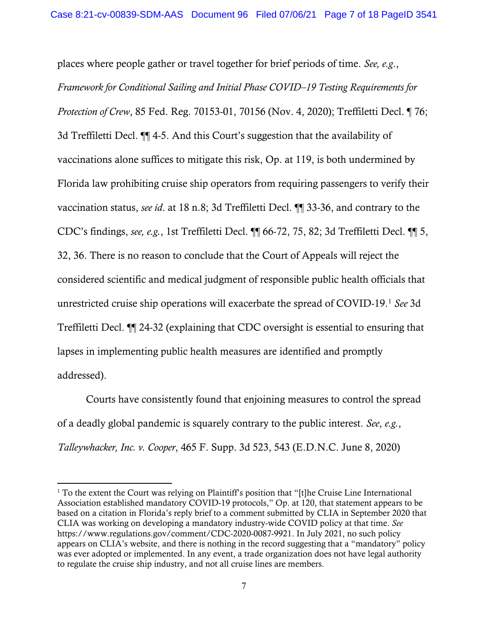places where people gather or travel together for brief periods of time. *See, e.g*., *Framework for Conditional Sailing and Initial Phase COVID–19 Testing Requirements for Protection of Crew*, 85 Fed. Reg. 70153-01, 70156 (Nov. 4, 2020); Treffiletti Decl. ¶ 76; 3d Treffiletti Decl. ¶¶ 4-5. And this Court's suggestion that the availability of vaccinations alone suffices to mitigate this risk, Op. at 119, is both undermined by Florida law prohibiting cruise ship operators from requiring passengers to verify their vaccination status, *see id*. at 18 n.8; 3d Treffiletti Decl. ¶¶ 33-36, and contrary to the CDC's findings, *see, e.g.*, 1st Treffiletti Decl. ¶¶ 66-72, 75, 82; 3d Treffiletti Decl. ¶¶ 5, 32, 36. There is no reason to conclude that the Court of Appeals will reject the considered scientific and medical judgment of responsible public health officials that unrestricted cruise ship operations will exacerbate the spread of COVID-19. <sup>1</sup> *See* 3d Treffiletti Decl. ¶¶ 24-32 (explaining that CDC oversight is essential to ensuring that lapses in implementing public health measures are identified and promptly addressed).

Courts have consistently found that enjoining measures to control the spread of a deadly global pandemic is squarely contrary to the public interest. *See*, *e.g.*, *Talleywhacker, Inc. v. Cooper*, 465 F. Supp. 3d 523, 543 (E.D.N.C. June 8, 2020)

 $\overline{a}$ 

<sup>&</sup>lt;sup>1</sup> To the extent the Court was relying on Plaintiff's position that "[t]he Cruise Line International Association established mandatory COVID-19 protocols," Op. at 120, that statement appears to be based on a citation in Florida's reply brief to a comment submitted by CLIA in September 2020 that CLIA was working on developing a mandatory industry-wide COVID policy at that time. *See* https://www.regulations.gov/comment/CDC-2020-0087-9921. In July 2021, no such policy appears on CLIA's website, and there is nothing in the record suggesting that a "mandatory" policy was ever adopted or implemented. In any event, a trade organization does not have legal authority to regulate the cruise ship industry, and not all cruise lines are members.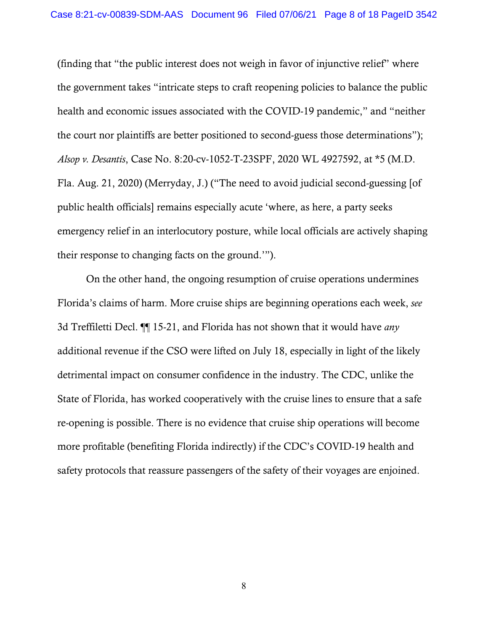(finding that "the public interest does not weigh in favor of injunctive relief" where the government takes "intricate steps to craft reopening policies to balance the public health and economic issues associated with the COVID-19 pandemic," and "neither the court nor plaintiffs are better positioned to second-guess those determinations"); *Alsop v. Desantis*, Case No. 8:20-cv-1052-T-23SPF, 2020 WL 4927592, at \*5 (M.D. Fla. Aug. 21, 2020) (Merryday, J.) ("The need to avoid judicial second-guessing [of public health officials] remains especially acute 'where, as here, a party seeks emergency relief in an interlocutory posture, while local officials are actively shaping their response to changing facts on the ground.'").

On the other hand, the ongoing resumption of cruise operations undermines Florida's claims of harm. More cruise ships are beginning operations each week, *see* 3d Treffiletti Decl. ¶¶ 15-21, and Florida has not shown that it would have *any*  additional revenue if the CSO were lifted on July 18, especially in light of the likely detrimental impact on consumer confidence in the industry. The CDC, unlike the State of Florida, has worked cooperatively with the cruise lines to ensure that a safe re-opening is possible. There is no evidence that cruise ship operations will become more profitable (benefiting Florida indirectly) if the CDC's COVID-19 health and safety protocols that reassure passengers of the safety of their voyages are enjoined.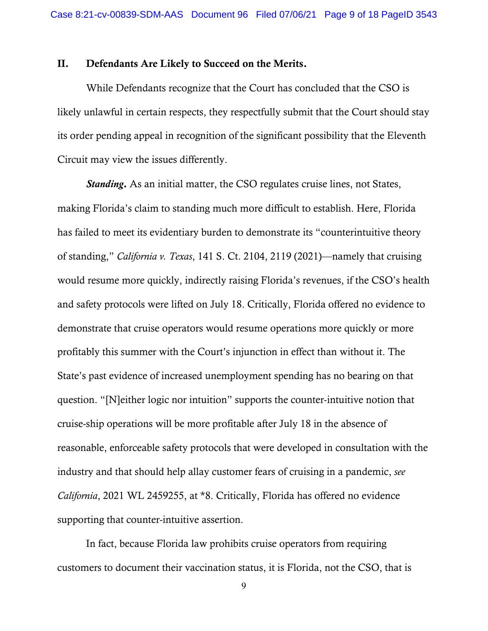## II. Defendants Are Likely to Succeed on the Merits.

While Defendants recognize that the Court has concluded that the CSO is likely unlawful in certain respects, they respectfully submit that the Court should stay its order pending appeal in recognition of the significant possibility that the Eleventh Circuit may view the issues differently.

*Standing*. As an initial matter, the CSO regulates cruise lines, not States, making Florida's claim to standing much more difficult to establish. Here, Florida has failed to meet its evidentiary burden to demonstrate its "counterintuitive theory of standing," *California v. Texas*, 141 S. Ct. 2104, 2119 (2021)—namely that cruising would resume more quickly, indirectly raising Florida's revenues, if the CSO's health and safety protocols were lifted on July 18. Critically, Florida offered no evidence to demonstrate that cruise operators would resume operations more quickly or more profitably this summer with the Court's injunction in effect than without it. The State's past evidence of increased unemployment spending has no bearing on that question. "[N]either logic nor intuition" supports the counter-intuitive notion that cruise-ship operations will be more profitable after July 18 in the absence of reasonable, enforceable safety protocols that were developed in consultation with the industry and that should help allay customer fears of cruising in a pandemic, *see California*, 2021 WL 2459255, at \*8. Critically, Florida has offered no evidence supporting that counter-intuitive assertion.

In fact, because Florida law prohibits cruise operators from requiring customers to document their vaccination status, it is Florida, not the CSO, that is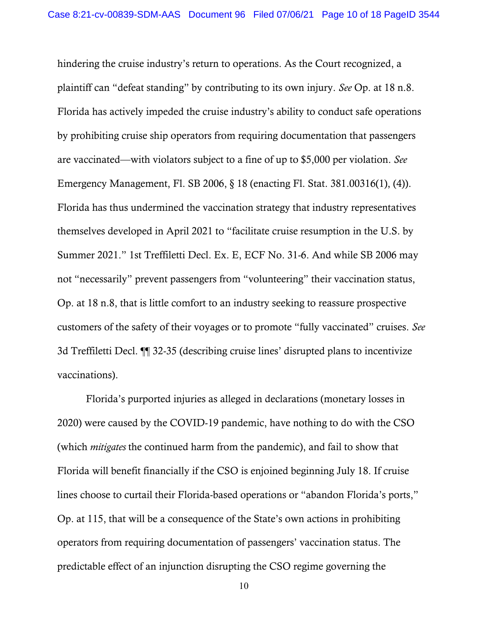hindering the cruise industry's return to operations. As the Court recognized, a plaintiff can "defeat standing" by contributing to its own injury. *See* Op. at 18 n.8. Florida has actively impeded the cruise industry's ability to conduct safe operations by prohibiting cruise ship operators from requiring documentation that passengers are vaccinated—with violators subject to a fine of up to \$5,000 per violation. *See* Emergency Management, Fl. SB 2006, § 18 (enacting Fl. Stat. 381.00316(1), (4)). Florida has thus undermined the vaccination strategy that industry representatives themselves developed in April 2021 to "facilitate cruise resumption in the U.S. by Summer 2021." 1st Treffiletti Decl. Ex. E, ECF No. 31-6. And while SB 2006 may not "necessarily" prevent passengers from "volunteering" their vaccination status, Op. at 18 n.8, that is little comfort to an industry seeking to reassure prospective customers of the safety of their voyages or to promote "fully vaccinated" cruises. *See*  3d Treffiletti Decl. ¶¶ 32-35 (describing cruise lines' disrupted plans to incentivize vaccinations).

Florida's purported injuries as alleged in declarations (monetary losses in 2020) were caused by the COVID-19 pandemic, have nothing to do with the CSO (which *mitigates* the continued harm from the pandemic), and fail to show that Florida will benefit financially if the CSO is enjoined beginning July 18. If cruise lines choose to curtail their Florida-based operations or "abandon Florida's ports," Op. at 115, that will be a consequence of the State's own actions in prohibiting operators from requiring documentation of passengers' vaccination status. The predictable effect of an injunction disrupting the CSO regime governing the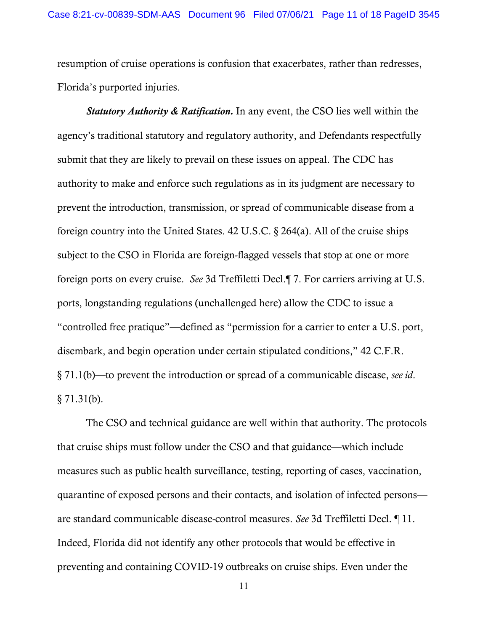resumption of cruise operations is confusion that exacerbates, rather than redresses, Florida's purported injuries.

*Statutory Authority & Ratification.* In any event, the CSO lies well within the agency's traditional statutory and regulatory authority, and Defendants respectfully submit that they are likely to prevail on these issues on appeal. The CDC has authority to make and enforce such regulations as in its judgment are necessary to prevent the introduction, transmission, or spread of communicable disease from a foreign country into the United States. 42 U.S.C. § 264(a). All of the cruise ships subject to the CSO in Florida are foreign-flagged vessels that stop at one or more foreign ports on every cruise. *See* 3d Treffiletti Decl.¶ 7. For carriers arriving at U.S. ports, longstanding regulations (unchallenged here) allow the CDC to issue a "controlled free pratique"—defined as "permission for a carrier to enter a U.S. port, disembark, and begin operation under certain stipulated conditions," 42 C.F.R. § 71.1(b)—to prevent the introduction or spread of a communicable disease, *see id*.  $§ 71.31(b).$ 

The CSO and technical guidance are well within that authority. The protocols that cruise ships must follow under the CSO and that guidance—which include measures such as public health surveillance, testing, reporting of cases, vaccination, quarantine of exposed persons and their contacts, and isolation of infected persons are standard communicable disease-control measures. *See* 3d Treffiletti Decl. ¶ 11. Indeed, Florida did not identify any other protocols that would be effective in preventing and containing COVID-19 outbreaks on cruise ships. Even under the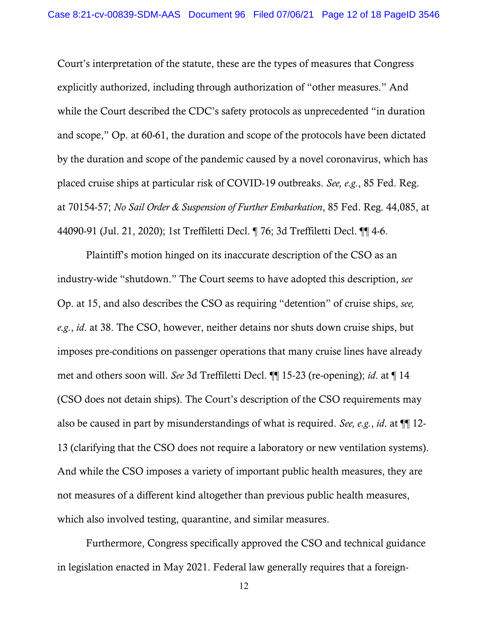Court's interpretation of the statute, these are the types of measures that Congress explicitly authorized, including through authorization of "other measures." And while the Court described the CDC's safety protocols as unprecedented "in duration and scope," Op. at 60-61, the duration and scope of the protocols have been dictated by the duration and scope of the pandemic caused by a novel coronavirus, which has placed cruise ships at particular risk of COVID-19 outbreaks. *See, e.g.*, 85 Fed. Reg. at 70154-57; *No Sail Order & Suspension of Further Embarkation*, 85 Fed. Reg. 44,085, at 44090-91 (Jul. 21, 2020); 1st Treffiletti Decl. ¶ 76; 3d Treffiletti Decl. ¶¶ 4-6.

Plaintiff's motion hinged on its inaccurate description of the CSO as an industry-wide "shutdown." The Court seems to have adopted this description, *see* Op. at 15, and also describes the CSO as requiring "detention" of cruise ships, *see, e.g.*, *id*. at 38. The CSO, however, neither detains nor shuts down cruise ships, but imposes pre-conditions on passenger operations that many cruise lines have already met and others soon will. *See* 3d Treffiletti Decl. ¶¶ 15-23 (re-opening); *id*. at ¶ 14 (CSO does not detain ships). The Court's description of the CSO requirements may also be caused in part by misunderstandings of what is required. *See, e.g.*, *id*. at ¶¶ 12- 13 (clarifying that the CSO does not require a laboratory or new ventilation systems). And while the CSO imposes a variety of important public health measures, they are not measures of a different kind altogether than previous public health measures, which also involved testing, quarantine, and similar measures.

Furthermore, Congress specifically approved the CSO and technical guidance in legislation enacted in May 2021. Federal law generally requires that a foreign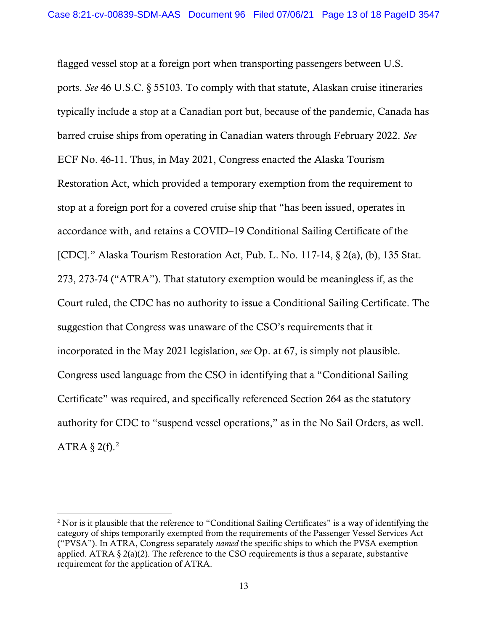flagged vessel stop at a foreign port when transporting passengers between U.S. ports. *See* 46 U.S.C. § 55103. To comply with that statute, Alaskan cruise itineraries typically include a stop at a Canadian port but, because of the pandemic, Canada has barred cruise ships from operating in Canadian waters through February 2022. *See* ECF No. 46-11. Thus, in May 2021, Congress enacted the Alaska Tourism Restoration Act, which provided a temporary exemption from the requirement to stop at a foreign port for a covered cruise ship that "has been issued, operates in accordance with, and retains a COVID–19 Conditional Sailing Certificate of the [CDC]." Alaska Tourism Restoration Act, Pub. L. No. 117-14, § 2(a), (b), 135 Stat. 273, 273-74 ("ATRA"). That statutory exemption would be meaningless if, as the Court ruled, the CDC has no authority to issue a Conditional Sailing Certificate. The suggestion that Congress was unaware of the CSO's requirements that it incorporated in the May 2021 legislation, *see* Op. at 67, is simply not plausible. Congress used language from the CSO in identifying that a "Conditional Sailing Certificate" was required, and specifically referenced Section 264 as the statutory authority for CDC to "suspend vessel operations," as in the No Sail Orders, as well. ATRA  $\S$  2(f).<sup>2</sup>

 $\overline{a}$ 

<sup>&</sup>lt;sup>2</sup> Nor is it plausible that the reference to "Conditional Sailing Certificates" is a way of identifying the category of ships temporarily exempted from the requirements of the Passenger Vessel Services Act ("PVSA"). In ATRA, Congress separately *named* the specific ships to which the PVSA exemption applied. ATRA  $\S 2(a)(2)$ . The reference to the CSO requirements is thus a separate, substantive requirement for the application of ATRA.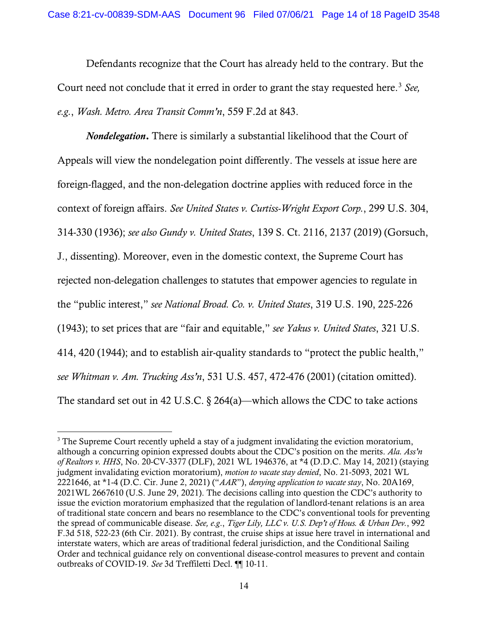Defendants recognize that the Court has already held to the contrary. But the Court need not conclude that it erred in order to grant the stay requested here. <sup>3</sup> *See, e.g.*, *Wash. Metro. Area Transit Comm'n*, 559 F.2d at 843.

*Nondelegation*. There is similarly a substantial likelihood that the Court of Appeals will view the nondelegation point differently. The vessels at issue here are foreign-flagged, and the non-delegation doctrine applies with reduced force in the context of foreign affairs. *See United States v. Curtiss-Wright Export Corp.*, 299 U.S. 304, 314-330 (1936); *see also Gundy v. United States*, 139 S. Ct. 2116, 2137 (2019) (Gorsuch, J., dissenting). Moreover, even in the domestic context, the Supreme Court has rejected non-delegation challenges to statutes that empower agencies to regulate in the "public interest," *see National Broad. Co. v. United States*, 319 U.S. 190, 225-226 (1943); to set prices that are "fair and equitable," *see Yakus v. United States*, 321 U.S. 414, 420 (1944); and to establish air-quality standards to "protect the public health," *see Whitman v. Am. Trucking Ass'n*, 531 U.S. 457, 472-476 (2001) (citation omitted). The standard set out in 42 U.S.C. § 264(a)—which allows the CDC to take actions

 $\overline{a}$ 

<sup>&</sup>lt;sup>3</sup> The Supreme Court recently upheld a stay of a judgment invalidating the eviction moratorium, although a concurring opinion expressed doubts about the CDC's position on the merits. *Ala. Ass'n of Realtors v. HHS*, No. 20-CV-3377 (DLF), 2021 WL 1946376, at \*4 (D.D.C. May 14, 2021) (staying judgment invalidating eviction moratorium), *motion to vacate stay denied*, No. 21-5093, 2021 WL 2221646, at \*1-4 (D.C. Cir. June 2, 2021) ("*AAR*"), *denying application to vacate stay*, No. 20A169, 2021WL 2667610 (U.S. June 29, 2021). The decisions calling into question the CDC's authority to issue the eviction moratorium emphasized that the regulation of landlord-tenant relations is an area of traditional state concern and bears no resemblance to the CDC's conventional tools for preventing the spread of communicable disease. *See, e.g*., *Tiger Lily, LLC v. U.S. Dep't of Hous. & Urban Dev.*, 992 F.3d 518, 522-23 (6th Cir. 2021). By contrast, the cruise ships at issue here travel in international and interstate waters, which are areas of traditional federal jurisdiction, and the Conditional Sailing Order and technical guidance rely on conventional disease-control measures to prevent and contain outbreaks of COVID-19. *See* 3d Treffiletti Decl. ¶¶ 10-11.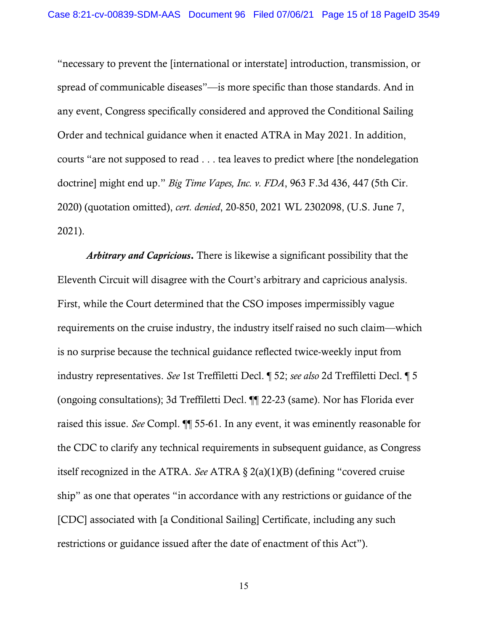"necessary to prevent the [international or interstate] introduction, transmission, or spread of communicable diseases"—is more specific than those standards. And in any event, Congress specifically considered and approved the Conditional Sailing Order and technical guidance when it enacted ATRA in May 2021. In addition, courts "are not supposed to read . . . tea leaves to predict where [the nondelegation doctrine] might end up." *Big Time Vapes, Inc. v. FDA*, 963 F.3d 436, 447 (5th Cir. 2020) (quotation omitted), *cert. denied*, 20-850, 2021 WL 2302098, (U.S. June 7, 2021).

*Arbitrary and Capricious*. There is likewise a significant possibility that the Eleventh Circuit will disagree with the Court's arbitrary and capricious analysis. First, while the Court determined that the CSO imposes impermissibly vague requirements on the cruise industry, the industry itself raised no such claim—which is no surprise because the technical guidance reflected twice-weekly input from industry representatives. *See* 1st Treffiletti Decl. ¶ 52; *see also* 2d Treffiletti Decl. ¶ 5 (ongoing consultations); 3d Treffiletti Decl. ¶¶ 22-23 (same). Nor has Florida ever raised this issue. *See* Compl. ¶¶ 55-61. In any event, it was eminently reasonable for the CDC to clarify any technical requirements in subsequent guidance, as Congress itself recognized in the ATRA. *See* ATRA § 2(a)(1)(B) (defining "covered cruise ship" as one that operates "in accordance with any restrictions or guidance of the [CDC] associated with [a Conditional Sailing] Certificate, including any such restrictions or guidance issued after the date of enactment of this Act").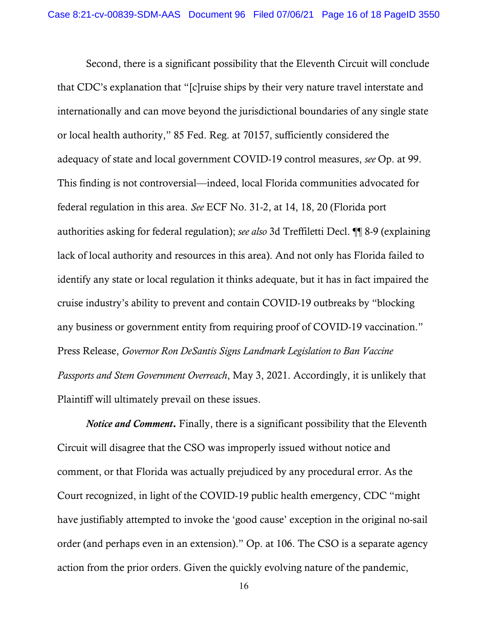Second, there is a significant possibility that the Eleventh Circuit will conclude that CDC's explanation that "[c]ruise ships by their very nature travel interstate and internationally and can move beyond the jurisdictional boundaries of any single state or local health authority," 85 Fed. Reg. at 70157, sufficiently considered the adequacy of state and local government COVID-19 control measures, *see* Op. at 99. This finding is not controversial—indeed, local Florida communities advocated for federal regulation in this area. *See* ECF No. 31-2, at 14, 18, 20 (Florida port authorities asking for federal regulation); *see also* 3d Treffiletti Decl. ¶¶ 8-9 (explaining lack of local authority and resources in this area). And not only has Florida failed to identify any state or local regulation it thinks adequate, but it has in fact impaired the cruise industry's ability to prevent and contain COVID-19 outbreaks by "blocking any business or government entity from requiring proof of COVID-19 vaccination." Press Release, *Governor Ron DeSantis Signs Landmark Legislation to Ban Vaccine Passports and Stem Government Overreach*, May 3, 2021. Accordingly, it is unlikely that Plaintiff will ultimately prevail on these issues.

*Notice and Comment*. Finally, there is a significant possibility that the Eleventh Circuit will disagree that the CSO was improperly issued without notice and comment, or that Florida was actually prejudiced by any procedural error. As the Court recognized, in light of the COVID-19 public health emergency, CDC "might have justifiably attempted to invoke the 'good cause' exception in the original no-sail order (and perhaps even in an extension)." Op. at 106. The CSO is a separate agency action from the prior orders. Given the quickly evolving nature of the pandemic,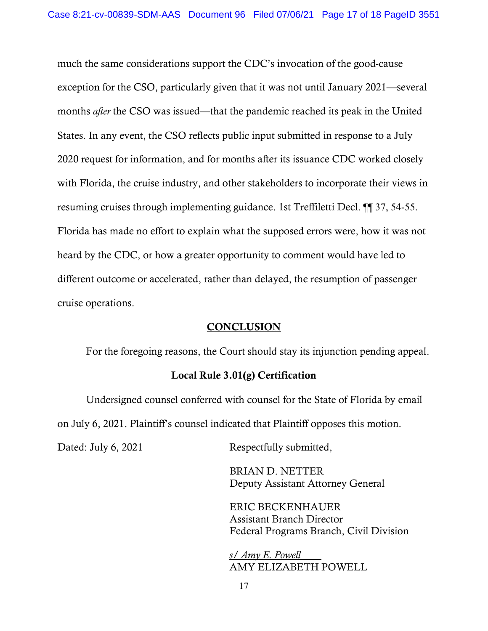much the same considerations support the CDC's invocation of the good-cause exception for the CSO, particularly given that it was not until January 2021—several months *after* the CSO was issued—that the pandemic reached its peak in the United States. In any event, the CSO reflects public input submitted in response to a July 2020 request for information, and for months after its issuance CDC worked closely with Florida, the cruise industry, and other stakeholders to incorporate their views in resuming cruises through implementing guidance. 1st Treffiletti Decl. ¶¶ 37, 54-55. Florida has made no effort to explain what the supposed errors were, how it was not heard by the CDC, or how a greater opportunity to comment would have led to different outcome or accelerated, rather than delayed, the resumption of passenger cruise operations.

### **CONCLUSION**

For the foregoing reasons, the Court should stay its injunction pending appeal.

#### Local Rule 3.01(g) Certification

Undersigned counsel conferred with counsel for the State of Florida by email on July 6, 2021. Plaintiff's counsel indicated that Plaintiff opposes this motion.

Dated: July 6, 2021 Respectfully submitted,

 BRIAN D. NETTER Deputy Assistant Attorney General

 ERIC BECKENHAUER Assistant Branch Director Federal Programs Branch, Civil Division

*s/ Amy E. Powell* AMY ELIZABETH POWELL